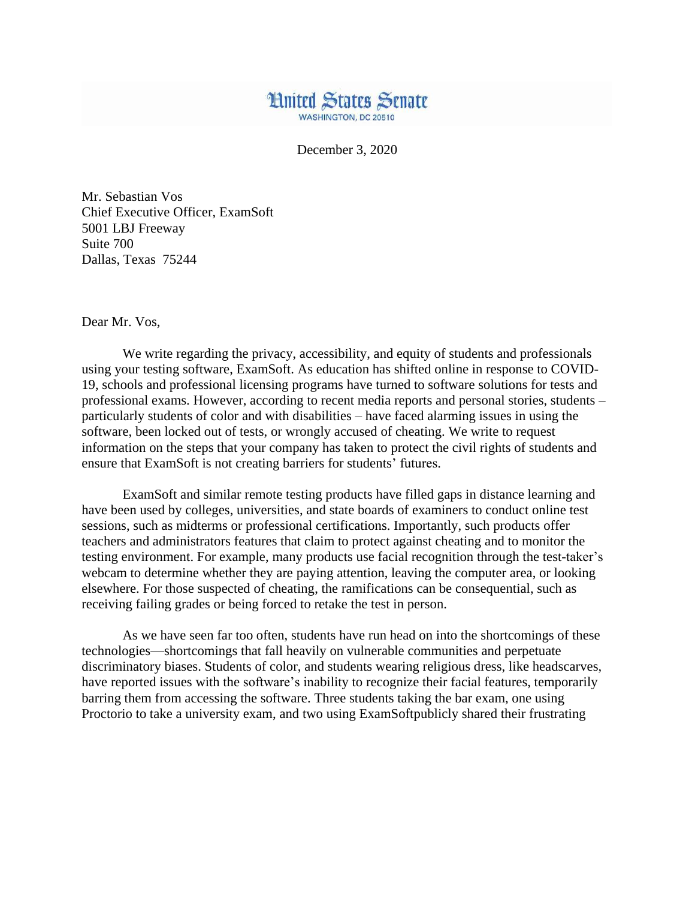

December 3, 2020

Mr. Sebastian Vos Chief Executive Officer, ExamSoft 5001 LBJ Freeway Suite 700 Dallas, Texas 75244

Dear Mr. Vos,

We write regarding the privacy, accessibility, and equity of students and professionals using your testing software, ExamSoft. As education has shifted online in response to COVID-19, schools and professional licensing programs have turned to software solutions for tests and professional exams. However, according to recent media reports and personal stories, students – particularly students of color and with disabilities – have faced alarming issues in using the software, been locked out of tests, or wrongly accused of cheating. We write to request information on the steps that your company has taken to protect the civil rights of students and ensure that ExamSoft is not creating barriers for students' futures.

ExamSoft and similar remote testing products have filled gaps in distance learning and have been used by colleges, universities, and state boards of examiners to conduct online test sessions, such as midterms or professional certifications. Importantly, such products offer teachers and administrators features that claim to protect against cheating and to monitor the testing environment. For example, many products use facial recognition through the test-taker's webcam to determine whether they are paying attention, leaving the computer area, or looking elsewhere. For those suspected of cheating, the ramifications can be consequential, such as receiving failing grades or being forced to retake the test in person.

As we have seen far too often, students have run head on into the shortcomings of these technologies—shortcomings that fall heavily on vulnerable communities and perpetuate discriminatory biases. Students of color, and students wearing religious dress, like headscarves, have reported issues with the software's inability to recognize their facial features, temporarily barring them from accessing the software. Three students taking the bar exam, one using Proctorio to take a university exam, and two using ExamSoftpublicly shared their frustrating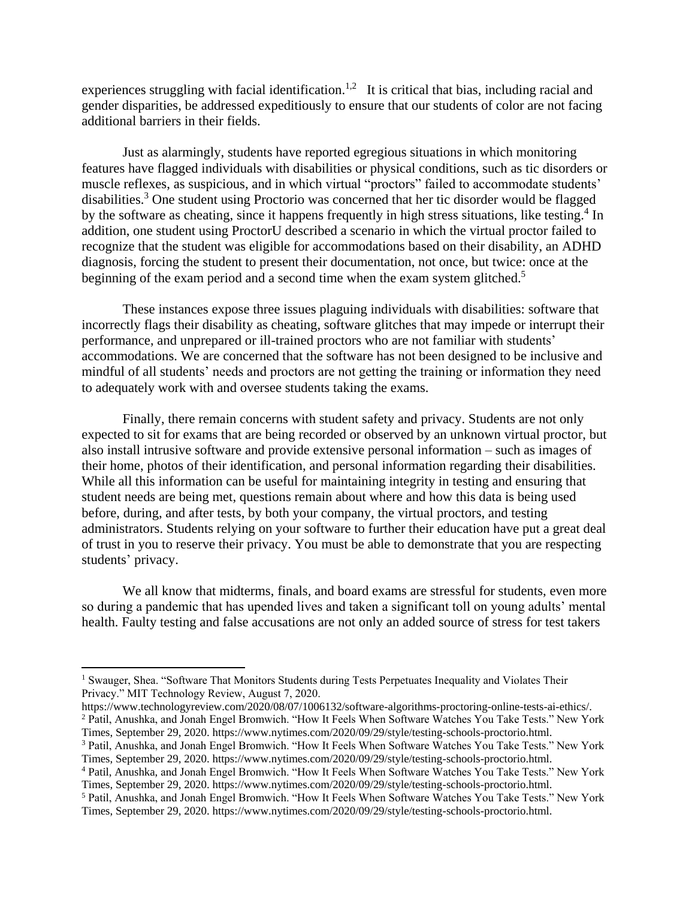experiences struggling with facial identification.<sup>1,2</sup> It is critical that bias, including racial and gender disparities, be addressed expeditiously to ensure that our students of color are not facing additional barriers in their fields.

Just as alarmingly, students have reported egregious situations in which monitoring features have flagged individuals with disabilities or physical conditions, such as tic disorders or muscle reflexes, as suspicious, and in which virtual "proctors" failed to accommodate students' disabilities.<sup>3</sup> One student using Proctorio was concerned that her tic disorder would be flagged by the software as cheating, since it happens frequently in high stress situations, like testing.<sup>4</sup> In addition, one student using ProctorU described a scenario in which the virtual proctor failed to recognize that the student was eligible for accommodations based on their disability, an ADHD diagnosis, forcing the student to present their documentation, not once, but twice: once at the beginning of the exam period and a second time when the exam system glitched.<sup>5</sup>

These instances expose three issues plaguing individuals with disabilities: software that incorrectly flags their disability as cheating, software glitches that may impede or interrupt their performance, and unprepared or ill-trained proctors who are not familiar with students' accommodations. We are concerned that the software has not been designed to be inclusive and mindful of all students' needs and proctors are not getting the training or information they need to adequately work with and oversee students taking the exams.

Finally, there remain concerns with student safety and privacy. Students are not only expected to sit for exams that are being recorded or observed by an unknown virtual proctor, but also install intrusive software and provide extensive personal information – such as images of their home, photos of their identification, and personal information regarding their disabilities. While all this information can be useful for maintaining integrity in testing and ensuring that student needs are being met, questions remain about where and how this data is being used before, during, and after tests, by both your company, the virtual proctors, and testing administrators. Students relying on your software to further their education have put a great deal of trust in you to reserve their privacy. You must be able to demonstrate that you are respecting students' privacy.

We all know that midterms, finals, and board exams are stressful for students, even more so during a pandemic that has upended lives and taken a significant toll on young adults' mental health. Faulty testing and false accusations are not only an added source of stress for test takers

 $\overline{\phantom{a}}$ 

<sup>&</sup>lt;sup>1</sup> Swauger, Shea. "Software That Monitors Students during Tests Perpetuates Inequality and Violates Their Privacy." MIT Technology Review, August 7, 2020.

https://www.technologyreview.com/2020/08/07/1006132/software-algorithms-proctoring-online-tests-ai-ethics/.

<sup>2</sup> Patil, Anushka, and Jonah Engel Bromwich. "How It Feels When Software Watches You Take Tests." New York Times, September 29, 2020. https://www.nytimes.com/2020/09/29/style/testing-schools-proctorio.html.

<sup>3</sup> Patil, Anushka, and Jonah Engel Bromwich. "How It Feels When Software Watches You Take Tests." New York Times, September 29, 2020. https://www.nytimes.com/2020/09/29/style/testing-schools-proctorio.html.

<sup>4</sup> Patil, Anushka, and Jonah Engel Bromwich. "How It Feels When Software Watches You Take Tests." New York Times, September 29, 2020. https://www.nytimes.com/2020/09/29/style/testing-schools-proctorio.html.

<sup>5</sup> Patil, Anushka, and Jonah Engel Bromwich. "How It Feels When Software Watches You Take Tests." New York Times, September 29, 2020. https://www.nytimes.com/2020/09/29/style/testing-schools-proctorio.html.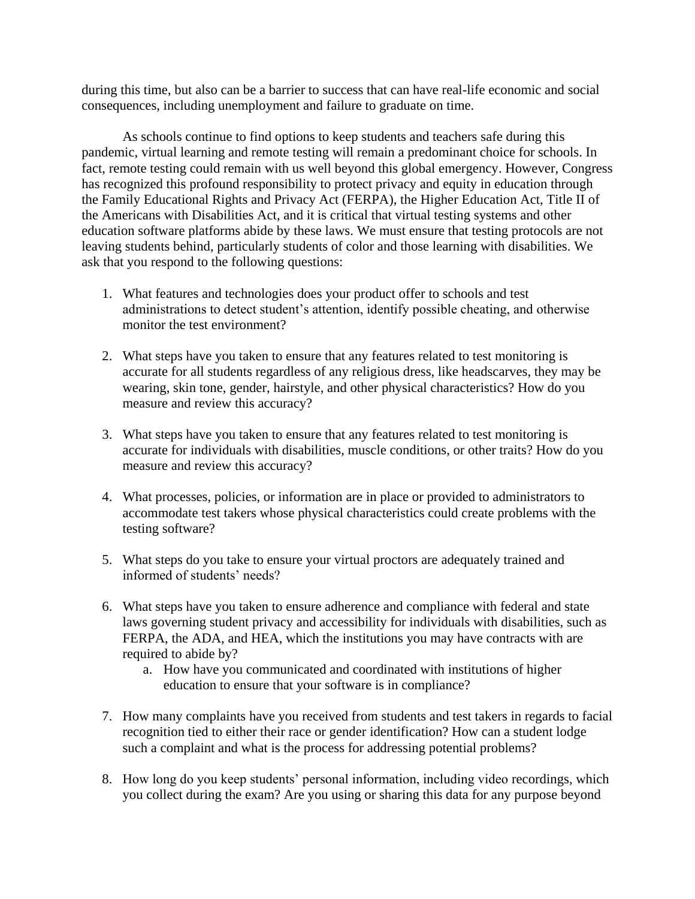during this time, but also can be a barrier to success that can have real-life economic and social consequences, including unemployment and failure to graduate on time.

As schools continue to find options to keep students and teachers safe during this pandemic, virtual learning and remote testing will remain a predominant choice for schools. In fact, remote testing could remain with us well beyond this global emergency. However, Congress has recognized this profound responsibility to protect privacy and equity in education through the Family Educational Rights and Privacy Act (FERPA), the Higher Education Act, Title II of the Americans with Disabilities Act, and it is critical that virtual testing systems and other education software platforms abide by these laws. We must ensure that testing protocols are not leaving students behind, particularly students of color and those learning with disabilities. We ask that you respond to the following questions:

- 1. What features and technologies does your product offer to schools and test administrations to detect student's attention, identify possible cheating, and otherwise monitor the test environment?
- 2. What steps have you taken to ensure that any features related to test monitoring is accurate for all students regardless of any religious dress, like headscarves, they may be wearing, skin tone, gender, hairstyle, and other physical characteristics? How do you measure and review this accuracy?
- 3. What steps have you taken to ensure that any features related to test monitoring is accurate for individuals with disabilities, muscle conditions, or other traits? How do you measure and review this accuracy?
- 4. What processes, policies, or information are in place or provided to administrators to accommodate test takers whose physical characteristics could create problems with the testing software?
- 5. What steps do you take to ensure your virtual proctors are adequately trained and informed of students' needs?
- 6. What steps have you taken to ensure adherence and compliance with federal and state laws governing student privacy and accessibility for individuals with disabilities, such as FERPA, the ADA, and HEA, which the institutions you may have contracts with are required to abide by?
	- a. How have you communicated and coordinated with institutions of higher education to ensure that your software is in compliance?
- 7. How many complaints have you received from students and test takers in regards to facial recognition tied to either their race or gender identification? How can a student lodge such a complaint and what is the process for addressing potential problems?
- 8. How long do you keep students' personal information, including video recordings, which you collect during the exam? Are you using or sharing this data for any purpose beyond